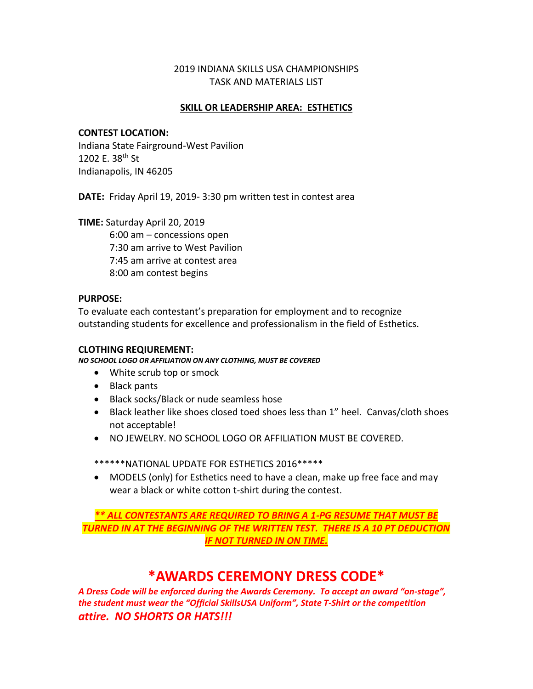#### 2019 INDIANA SKILLS USA CHAMPIONSHIPS TASK AND MATERIALS LIST

#### **SKILL OR LEADERSHIP AREA: ESTHETICS**

#### **CONTEST LOCATION:**

Indiana State Fairground-West Pavilion 1202 E. 38th St Indianapolis, IN 46205

**DATE:** Friday April 19, 2019- 3:30 pm written test in contest area

**TIME:** Saturday April 20, 2019

6:00 am – concessions open 7:30 am arrive to West Pavilion 7:45 am arrive at contest area 8:00 am contest begins

#### **PURPOSE:**

To evaluate each contestant's preparation for employment and to recognize outstanding students for excellence and professionalism in the field of Esthetics.

#### **CLOTHING REQIUREMENT:**

*NO SCHOOL LOGO OR AFFILIATION ON ANY CLOTHING, MUST BE COVERED*

- White scrub top or smock
- Black pants
- Black socks/Black or nude seamless hose
- Black leather like shoes closed toed shoes less than 1" heel. Canvas/cloth shoes not acceptable!
- NO JEWELRY. NO SCHOOL LOGO OR AFFILIATION MUST BE COVERED.

\*\*\*\*\*\*NATIONAL UPDATE FOR ESTHETICS 2016\*\*\*\*\*

• MODELS (only) for Esthetics need to have a clean, make up free face and may wear a black or white cotton t-shirt during the contest.

*\*\* ALL CONTESTANTS ARE REQUIRED TO BRING A 1-PG RESUME THAT MUST BE TURNED IN AT THE BEGINNING OF THE WRITTEN TEST. THERE IS A 10 PT DEDUCTION IF NOT TURNED IN ON TIME.*

# **\*AWARDS CEREMONY DRESS CODE\***

*A Dress Code will be enforced during the Awards Ceremony. To accept an award "on-stage", the student must wear the "Official SkillsUSA Uniform", State T-Shirt or the competition attire. NO SHORTS OR HATS!!!*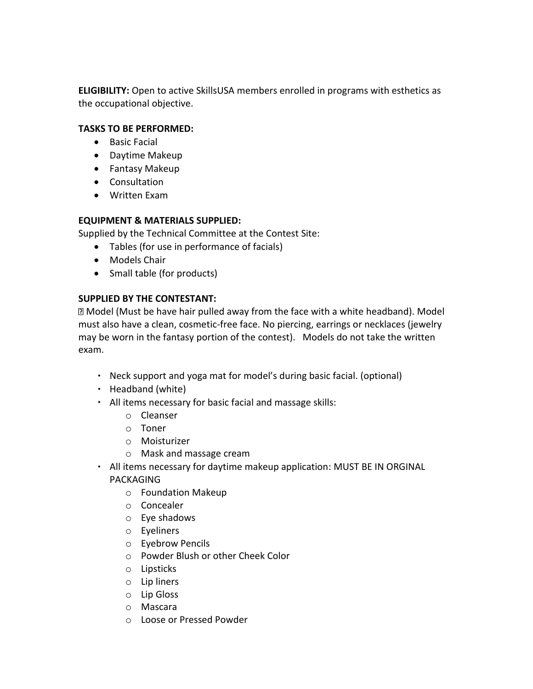**ELIGIBILITY:** Open to active SkillsUSA members enrolled in programs with esthetics as the occupational objective.

## **TASKS TO BE PERFORMED:**

- Basic Facial
- Daytime Makeup
- Fantasy Makeup
- Consultation
- Written Exam

# **EQUIPMENT & MATERIALS SUPPLIED:**

Supplied by the Technical Committee at the Contest Site:

- Tables (for use in performance of facials)
- Models Chair
- Small table (for products)

# **SUPPLIED BY THE CONTESTANT:**

Model (Must be have hair pulled away from the face with a white headband). Model must also have a clean, cosmetic-free face. No piercing, earrings or necklaces (jewelry may be worn in the fantasy portion of the contest). Models do not take the written exam.

- Neck support and yoga mat for model's during basic facial. (optional)
- $\cdot$  Headband (white)
- All items necessary for basic facial and massage skills:
	- o Cleanser
	- o Toner
	- o Moisturizer
	- o Mask and massage cream
- All items necessary for daytime makeup application: MUST BE IN ORGINAL PACKAGING
	- o Foundation Makeup
	- o Concealer
	- o Eye shadows
	- o Eyeliners
	- o Eyebrow Pencils
	- o Powder Blush or other Cheek Color
	- o Lipsticks
	- o Lip liners
	- o Lip Gloss
	- o Mascara
	- o Loose or Pressed Powder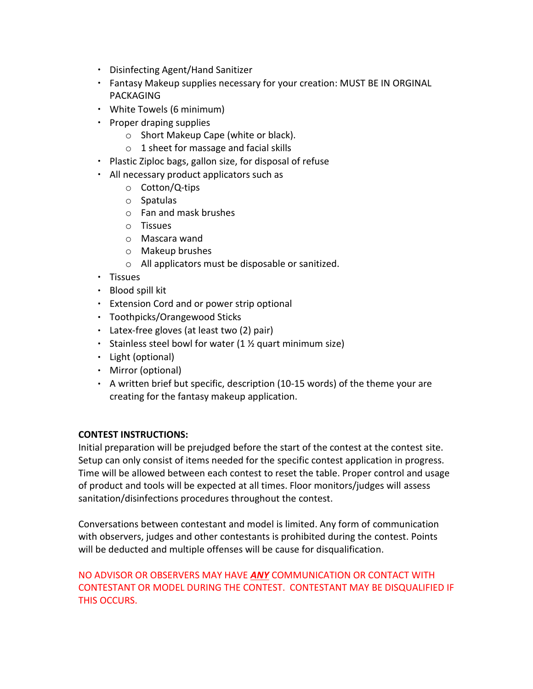- Disinfecting Agent/Hand Sanitizer
- Fantasy Makeup supplies necessary for your creation: MUST BE IN ORGINAL PACKAGING
- White Towels (6 minimum)
- $\cdot$  Proper draping supplies
	- o Short Makeup Cape (white or black).
	- o 1 sheet for massage and facial skills
- Plastic Ziploc bags, gallon size, for disposal of refuse
- All necessary product applicators such as
	- o Cotton/Q-tips
	- o Spatulas
	- o Fan and mask brushes
	- o Tissues
	- o Mascara wand
	- o Makeup brushes
	- o All applicators must be disposable or sanitized.
- $\cdot$  Tissues
- Blood spill kit
- Extension Cord and or power strip optional
- Toothpicks/Orangewood Sticks
- Latex-free gloves (at least two (2) pair)
- Stainless steel bowl for water  $(1 \times$  quart minimum size)
- Light (optional)
- Mirror (optional)
- $\cdot$  A written brief but specific, description (10-15 words) of the theme your are creating for the fantasy makeup application.

## **CONTEST INSTRUCTIONS:**

Initial preparation will be prejudged before the start of the contest at the contest site. Setup can only consist of items needed for the specific contest application in progress. Time will be allowed between each contest to reset the table. Proper control and usage of product and tools will be expected at all times. Floor monitors/judges will assess sanitation/disinfections procedures throughout the contest.

Conversations between contestant and model is limited. Any form of communication with observers, judges and other contestants is prohibited during the contest. Points will be deducted and multiple offenses will be cause for disqualification.

# NO ADVISOR OR OBSERVERS MAY HAVE *ANY* COMMUNICATION OR CONTACT WITH CONTESTANT OR MODEL DURING THE CONTEST. CONTESTANT MAY BE DISQUALIFIED IF THIS OCCURS.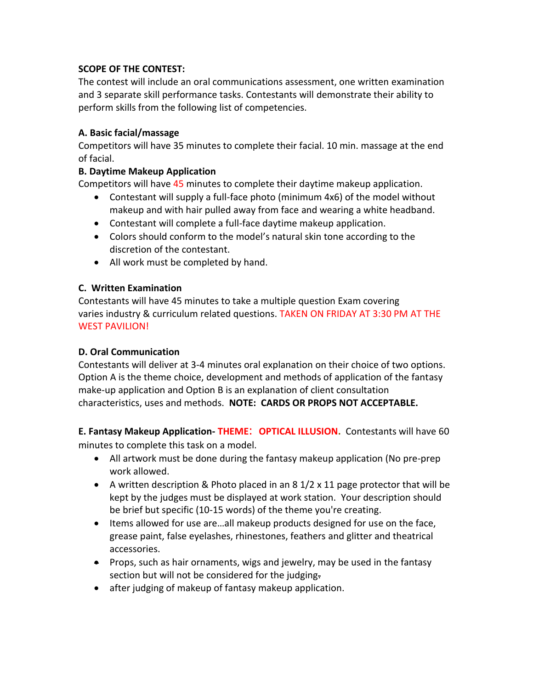## **SCOPE OF THE CONTEST:**

The contest will include an oral communications assessment, one written examination and 3 separate skill performance tasks. Contestants will demonstrate their ability to perform skills from the following list of competencies.

## **A. Basic facial/massage**

Competitors will have 35 minutes to complete their facial. 10 min. massage at the end of facial.

## **B. Daytime Makeup Application**

Competitors will have 45 minutes to complete their daytime makeup application.

- Contestant will supply a full-face photo (minimum 4x6) of the model without makeup and with hair pulled away from face and wearing a white headband.
- Contestant will complete a full-face daytime makeup application.
- Colors should conform to the model's natural skin tone according to the discretion of the contestant.
- All work must be completed by hand.

#### **C. Written Examination**

Contestants will have 45 minutes to take a multiple question Exam covering varies industry & curriculum related questions. TAKEN ON FRIDAY AT 3:30 PM AT THE WEST PAVILION!

## **D. Oral Communication**

Contestants will deliver at 3-4 minutes oral explanation on their choice of two options. Option A is the theme choice, development and methods of application of the fantasy make-up application and Option B is an explanation of client consultation characteristics, uses and methods. **NOTE: CARDS OR PROPS NOT ACCEPTABLE.**

**E. Fantasy Makeup Application- THEME**: **OPTICAL ILLUSION.** Contestants will have 60 minutes to complete this task on a model.

- All artwork must be done during the fantasy makeup application (No pre-prep work allowed.
- A written description & Photo placed in an  $8\frac{1}{2} \times 11$  page protector that will be kept by the judges must be displayed at work station. Your description should be brief but specific (10-15 words) of the theme you're creating.
- Items allowed for use are…all makeup products designed for use on the face, grease paint, false eyelashes, rhinestones, feathers and glitter and theatrical accessories.
- Props, such as hair ornaments, wigs and jewelry, may be used in the fantasy section but will not be considered for the judging.
- after judging of makeup of fantasy makeup application.